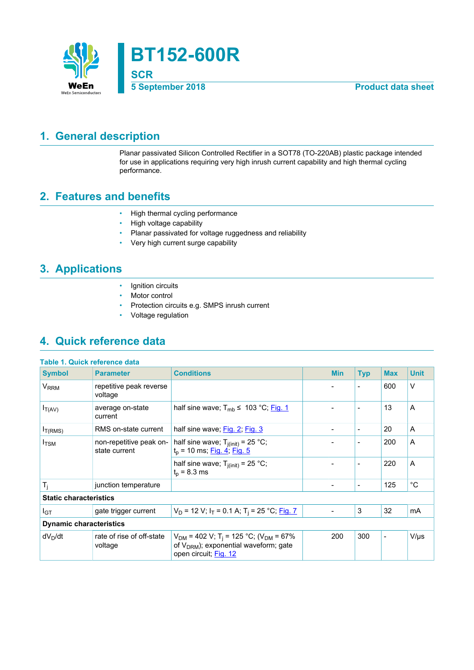

## <span id="page-0-0"></span>**1. General description**

Planar passivated Silicon Controlled Rectifier in a SOT78 (TO-220AB) plastic package intended for use in applications requiring very high inrush current capability and high thermal cycling performance.

## <span id="page-0-1"></span>**2. Features and benefits**

- High thermal cycling performance
- High voltage capability
- Planar passivated for voltage ruggedness and reliability
- Very high current surge capability

# <span id="page-0-2"></span>**3. Applications**

- Ignition circuits
- Motor control
- Protection circuits e.g. SMPS inrush current
- Voltage regulation

## <span id="page-0-3"></span>**4. Quick reference data**

|                                | Table 1. Quick reference data            |                                                                                                                                          |  |                          |                          |                          |             |
|--------------------------------|------------------------------------------|------------------------------------------------------------------------------------------------------------------------------------------|--|--------------------------|--------------------------|--------------------------|-------------|
| <b>Symbol</b>                  | <b>Parameter</b>                         | <b>Conditions</b>                                                                                                                        |  | <b>Min</b>               | <b>Typ</b>               | <b>Max</b>               | <b>Unit</b> |
| V <sub>RRM</sub>               | repetitive peak reverse<br>voltage       |                                                                                                                                          |  |                          | $\overline{\phantom{a}}$ | 600                      | $\vee$      |
| $I_{T(AV)}$                    | average on-state<br>current              | half sine wave; $T_{\rm mb} \leq 103 \degree C$ ; Fig. 1                                                                                 |  |                          | $\overline{\phantom{a}}$ | 13                       | A           |
| $I_{T(RMS)}$                   | RMS on-state current                     | half sine wave; Fig. 2; Fig. 3                                                                                                           |  | $\overline{\phantom{a}}$ | $\overline{\phantom{a}}$ | 20                       | A           |
| $I_{\rm TSM}$                  | non-repetitive peak on-<br>state current | half sine wave; $T_{j(int)} = 25 °C$ ;<br>$t_p$ = 10 ms; Fig. 4; Fig. 5                                                                  |  |                          |                          | 200                      | A           |
|                                |                                          | half sine wave; $T_{i(int)} = 25 °C$ ;<br>$t_{p}$ = 8.3 ms                                                                               |  |                          | $\overline{\phantom{a}}$ | 220                      | A           |
| $T_i$                          | junction temperature                     |                                                                                                                                          |  | $\overline{\phantom{a}}$ | $\overline{\phantom{a}}$ | 125                      | $^{\circ}C$ |
| <b>Static characteristics</b>  |                                          |                                                                                                                                          |  |                          |                          |                          |             |
| I <sub>GT</sub>                | gate trigger current                     | $V_D$ = 12 V; $I_T$ = 0.1 A; T <sub>i</sub> = 25 °C; Fig. 7                                                                              |  | $\overline{\phantom{a}}$ | 3                        | 32                       | mA          |
| <b>Dynamic characteristics</b> |                                          |                                                                                                                                          |  |                          |                          |                          |             |
| dV <sub>D</sub> /dt            | rate of rise of off-state<br>voltage     | $V_{DM}$ = 402 V; T <sub>i</sub> = 125 °C; (V <sub>DM</sub> = 67%<br>of $V_{DRM}$ ); exponential waveform; gate<br>open circuit; Fig. 12 |  | 200                      | 300                      | $\overline{\phantom{a}}$ | $V/\mu s$   |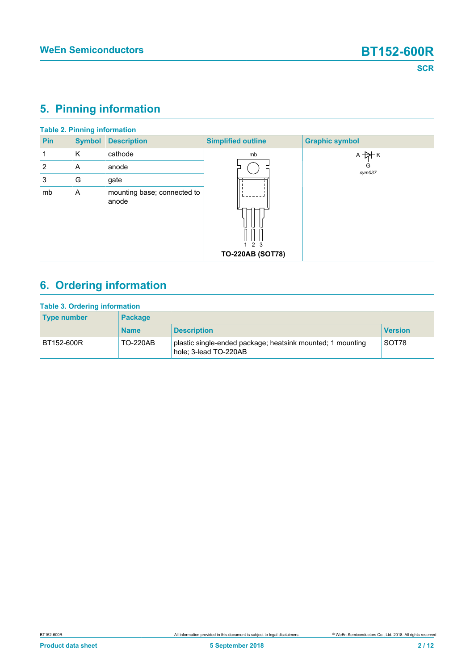# <span id="page-1-0"></span>**5. Pinning information**

|                |               | <b>Table 2. Pinning information</b>  |                                |                       |
|----------------|---------------|--------------------------------------|--------------------------------|-----------------------|
| <b>Pin</b>     | <b>Symbol</b> | <b>Description</b>                   | <b>Simplified outline</b>      | <b>Graphic symbol</b> |
|                | K             | cathode                              | mb                             | $A + A$ $K$           |
| $\overline{2}$ | A             | anode                                |                                | G<br>sym037           |
| 3              | G             | gate                                 |                                |                       |
| mb             | A             | mounting base; connected to<br>anode | ᇦ y<br><b>TO-220AB (SOT78)</b> |                       |
|                |               |                                      |                                |                       |

# <span id="page-1-1"></span>**6. Ordering information**

| <b>Table 3. Ordering information</b> |                 |                                                                                     |                |  |  |  |  |
|--------------------------------------|-----------------|-------------------------------------------------------------------------------------|----------------|--|--|--|--|
| <b>Type number</b>                   | <b>Package</b>  |                                                                                     |                |  |  |  |  |
|                                      | <b>Name</b>     | <b>Description</b>                                                                  | <b>Version</b> |  |  |  |  |
| BT152-600R                           | <b>TO-220AB</b> | plastic single-ended package; heatsink mounted; 1 mounting<br>hole; 3-lead TO-220AB | SOT78          |  |  |  |  |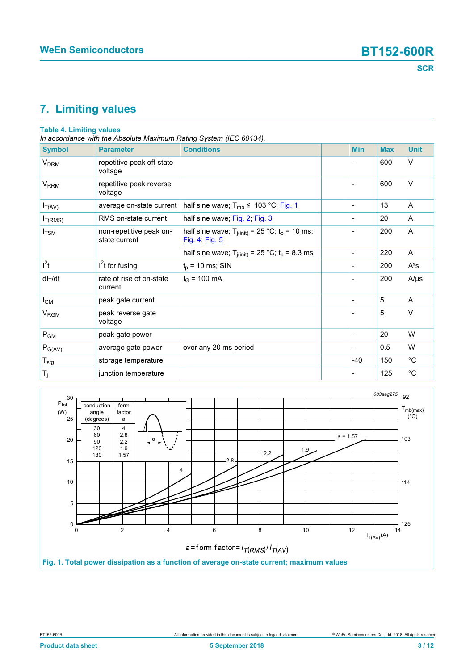# <span id="page-2-1"></span>**7. Limiting values**

### **Table 4. Limiting values**

*In accordance with the Absolute Maximum Rating System (IEC 60134).*

| <b>Symbol</b>       | <b>Parameter</b>                         | <b>Conditions</b>                                                       | <b>Min</b>                   | <b>Max</b> | <b>Unit</b> |
|---------------------|------------------------------------------|-------------------------------------------------------------------------|------------------------------|------------|-------------|
| V <sub>DRM</sub>    | repetitive peak off-state<br>voltage     |                                                                         |                              | 600        | $\vee$      |
| V <sub>RRM</sub>    | repetitive peak reverse<br>voltage       |                                                                         | $\overline{\phantom{a}}$     | 600        | V           |
| $I_{T(AV)}$         | average on-state current                 | half sine wave; $T_{mb} \leq 103 \degree C$ ; Fig. 1                    | $\overline{\phantom{a}}$     | 13         | A           |
| I <sub>T(RMS)</sub> | RMS on-state current                     | half sine wave; Fig. 2; Fig. 3                                          | $\qquad \qquad \blacksquare$ | 20         | A           |
| $I_{\rm TSM}$       | non-repetitive peak on-<br>state current | half sine wave; $T_{j(int)} = 25 °C$ ; $t_p = 10$ ms;<br>Fig. 4; Fig. 5 | $\overline{a}$               | 200        | Α           |
|                     |                                          | half sine wave; $T_{j(int)} = 25 °C$ ; $t_p = 8.3$ ms                   | $\overline{\phantom{0}}$     | 220        | A           |
| $l^2t$              | $I2t$ for fusing                         | $t_p$ = 10 ms; SIN                                                      |                              | 200        | $A^2s$      |
| $dl_T/dt$           | rate of rise of on-state<br>current      | $I_G$ = 100 mA                                                          | $\blacksquare$               | 200        | $A/\mu s$   |
| $I_{GM}$            | peak gate current                        |                                                                         | $\overline{\phantom{a}}$     | 5          | A           |
| V <sub>RGM</sub>    | peak reverse gate<br>voltage             |                                                                         |                              | 5          | $\vee$      |
| $P_{GM}$            | peak gate power                          |                                                                         |                              | 20         | W           |
| $P_{G(AV)}$         | average gate power                       | over any 20 ms period                                                   |                              | 0.5        | W           |
| $T_{\sf stg}$       | storage temperature                      |                                                                         | $-40$                        | 150        | $^{\circ}C$ |
| $T_{j}$             | junction temperature                     |                                                                         |                              | 125        | $^{\circ}C$ |

<span id="page-2-0"></span>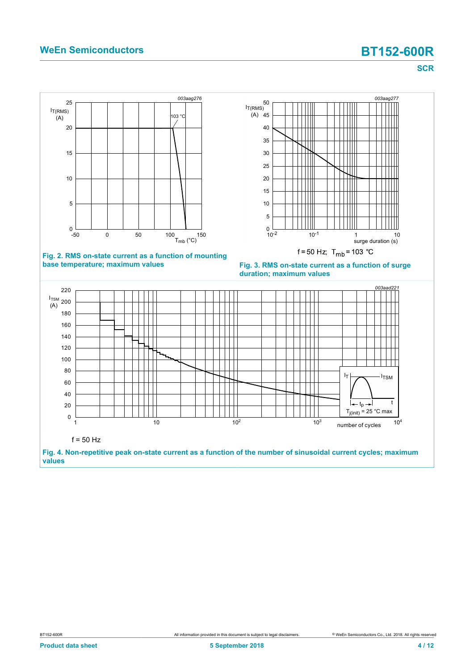## **WeEn Semiconductors BT152-600R**

<span id="page-3-1"></span>**SCR**

<span id="page-3-0"></span>

<span id="page-3-2"></span>**values**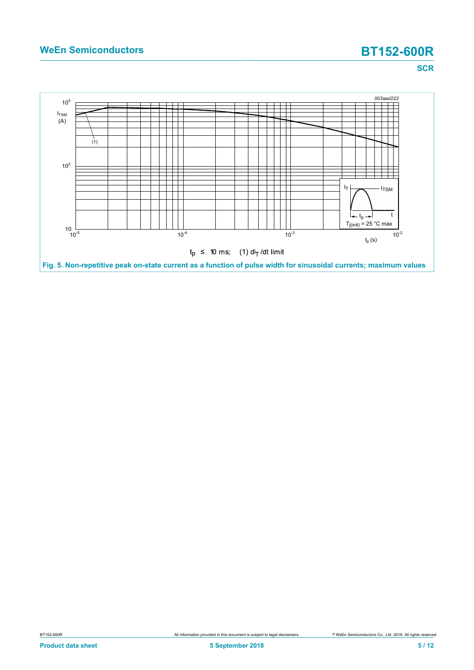# **WeEn Semiconductors BT152-600R**

**SCR**

<span id="page-4-0"></span>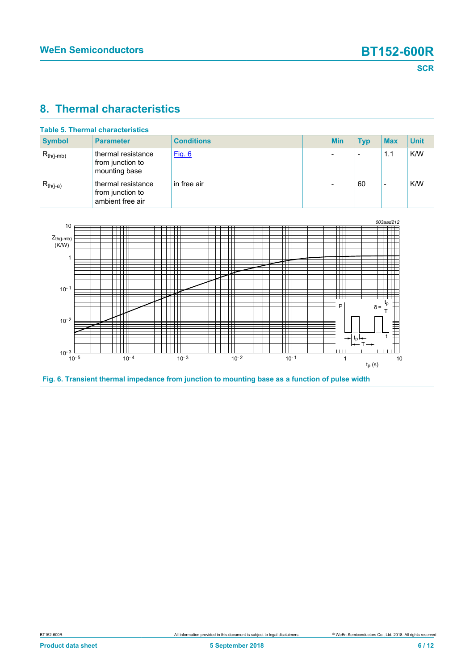### <span id="page-5-1"></span>**8. Thermal characteristics**

| <b>Table 5. Thermal characteristics</b> |                                                            |                   |  |            |            |            |             |
|-----------------------------------------|------------------------------------------------------------|-------------------|--|------------|------------|------------|-------------|
| <b>Symbol</b>                           | <b>Parameter</b>                                           | <b>Conditions</b> |  | <b>Min</b> | <b>Typ</b> | <b>Max</b> | <b>Unit</b> |
| $R_{th(i-mb)}$                          | thermal resistance<br>from junction to<br>mounting base    | Fig. 6            |  |            |            | 1.1        | K/W         |
| $R_{th(j-a)}$                           | thermal resistance<br>from junction to<br>ambient free air | in free air       |  |            | 60         |            | K/W         |

<span id="page-5-0"></span>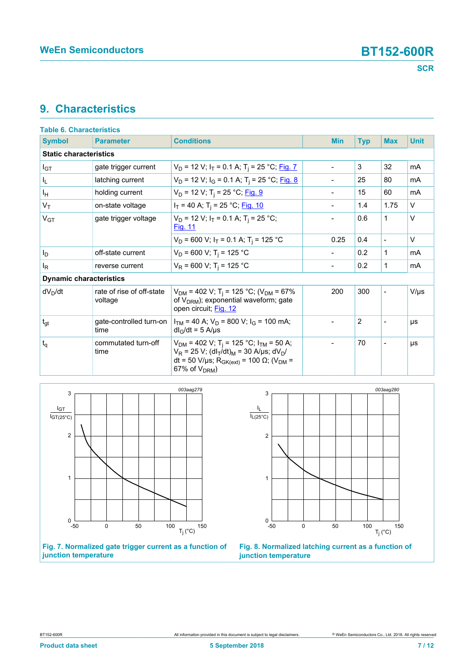### <span id="page-6-2"></span>**9. Characteristics**

| <b>Table 6. Characteristics</b> |                                      |                                                                                                                                                                                                                                                    |  |                              |            |                          |             |
|---------------------------------|--------------------------------------|----------------------------------------------------------------------------------------------------------------------------------------------------------------------------------------------------------------------------------------------------|--|------------------------------|------------|--------------------------|-------------|
| <b>Symbol</b>                   | <b>Parameter</b>                     | <b>Conditions</b>                                                                                                                                                                                                                                  |  | <b>Min</b>                   | <b>Typ</b> | <b>Max</b>               | <b>Unit</b> |
| <b>Static characteristics</b>   |                                      |                                                                                                                                                                                                                                                    |  |                              |            |                          |             |
| $I_{GT}$                        | gate trigger current                 | $V_D$ = 12 V; $I_T$ = 0.1 A; T <sub>i</sub> = 25 °C; Fig. 7                                                                                                                                                                                        |  | $\overline{\phantom{0}}$     | 3          | 32                       | mA          |
| I <sub>L</sub>                  | latching current                     | $V_D$ = 12 V; $I_G$ = 0.1 A; T <sub>i</sub> = 25 °C; Fig. 8                                                                                                                                                                                        |  | $\overline{\phantom{0}}$     | 25         | 80                       | mA          |
| Iн                              | holding current                      | $V_D$ = 12 V; T <sub>i</sub> = 25 °C; Fig. 9                                                                                                                                                                                                       |  | $\overline{\phantom{0}}$     | 15         | 60                       | mA          |
| $V_T$                           | on-state voltage                     | $I_T$ = 40 A; T <sub>i</sub> = 25 °C; Fig. 10                                                                                                                                                                                                      |  | $\overline{\phantom{0}}$     | 1.4        | 1.75                     | $\vee$      |
| V <sub>GT</sub>                 | gate trigger voltage                 | $V_D$ = 12 V; $I_T$ = 0.1 A; T <sub>i</sub> = 25 °C;<br><b>Fig. 11</b>                                                                                                                                                                             |  |                              | 0.6        | 1                        | $\vee$      |
|                                 |                                      | $V_D$ = 600 V; $I_T$ = 0.1 A; T <sub>i</sub> = 125 °C                                                                                                                                                                                              |  | 0.25                         | 0.4        | $\blacksquare$           | $\vee$      |
| l <sub>D</sub>                  | off-state current                    | $V_D$ = 600 V; T <sub>i</sub> = 125 °C                                                                                                                                                                                                             |  | $\qquad \qquad \blacksquare$ | 0.2        | 1                        | mA          |
| l <sub>R</sub>                  | reverse current                      | $V_R$ = 600 V; T <sub>i</sub> = 125 °C                                                                                                                                                                                                             |  | $\qquad \qquad \blacksquare$ | 0.2        | $\mathbf 1$              | mA          |
| <b>Dynamic characteristics</b>  |                                      |                                                                                                                                                                                                                                                    |  |                              |            |                          |             |
| $dV_D/dt$                       | rate of rise of off-state<br>voltage | $V_{DM}$ = 402 V; T <sub>i</sub> = 125 °C; (V <sub>DM</sub> = 67%<br>of $V_{DRM}$ ); exponential waveform; gate<br>open circuit; Fig. 12                                                                                                           |  | 200                          | 300        |                          | $V/\mu s$   |
| $t_{gt}$                        | gate-controlled turn-on<br>time      | $I_{TM}$ = 40 A; $V_D$ = 800 V; $I_G$ = 100 mA;<br>$dl_G/dt = 5$ A/µs                                                                                                                                                                              |  |                              | 2          |                          | μs          |
| $t_q$                           | commutated turn-off<br>time          | $V_{DM}$ = 402 V; T <sub>i</sub> = 125 °C; I <sub>TM</sub> = 50 A;<br>$V_R$ = 25 V; (dl <sub>T</sub> /dt) <sub>M</sub> = 30 A/µs; dV <sub>D</sub> /<br>dt = 50 V/μs; R <sub>GK(ext)</sub> = 100 Ω; (V <sub>DM</sub> =<br>67% of V <sub>DRM</sub> ) |  |                              | 70         | $\overline{\phantom{a}}$ | μs          |

<span id="page-6-0"></span>

**Fig. 7. Normalized gate trigger current as a function of junction temperature**

<span id="page-6-1"></span>

**Fig. 8. Normalized latching current as a function of junction temperature**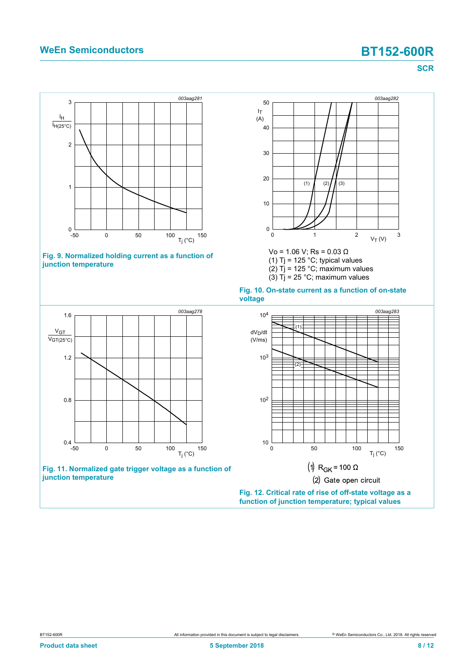### **WeEn Semiconductors BT152-600R**

<span id="page-7-2"></span><span id="page-7-0"></span>**SCR**

<span id="page-7-3"></span><span id="page-7-1"></span>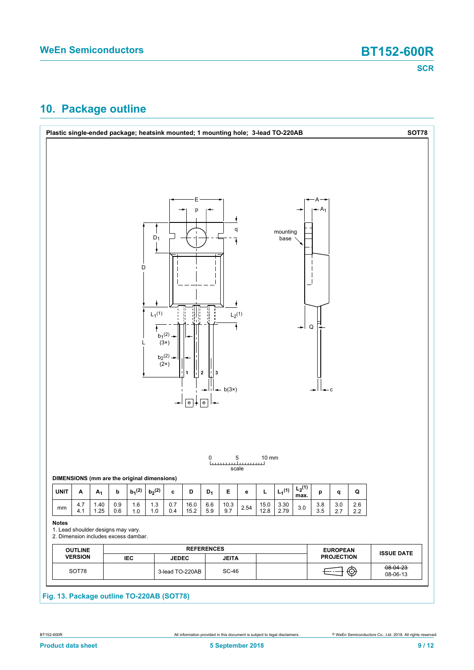## <span id="page-8-0"></span>**10. Package outline**

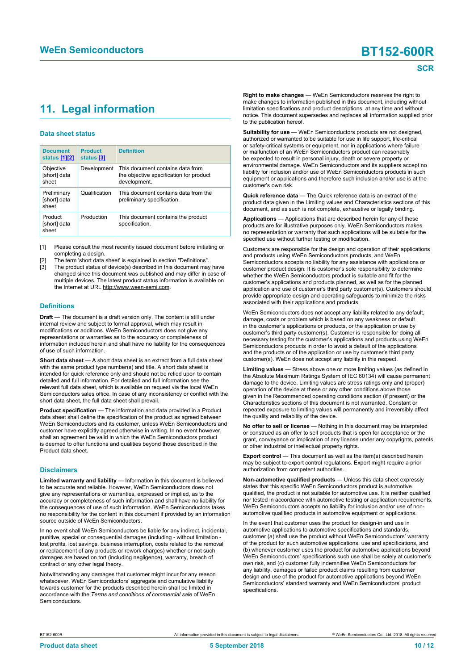## <span id="page-9-1"></span><span id="page-9-0"></span>**11. Legal information**

### **Data sheet status**

| <b>Document</b><br>status [1][2]     | <b>Product</b><br>status [3] | <b>Definition</b>                                                                           |
|--------------------------------------|------------------------------|---------------------------------------------------------------------------------------------|
| Objective<br>[short] data<br>sheet   | Development                  | This document contains data from<br>the objective specification for product<br>development. |
| Preliminary<br>[short] data<br>sheet | Qualification                | This document contains data from the<br>preliminary specification.                          |
| Product<br>[short] data<br>sheet     | Production                   | This document contains the product<br>specification.                                        |

[1] Please consult the most recently issued document before initiating or completing a design.

- The term 'short data sheet' is explained in section "Definitions".
- The product status of device(s) described in this document may have changed since this document was published and may differ in case of multiple devices. The latest product status information is available on the Internet at URL http://www.ween-semi.com.

### **Definitions**

**Draft** — The document is a draft version only. The content is still under internal review and subject to formal approval, which may result in modifications or additions. WeEn Semiconductors does not give any representations or warranties as to the accuracy or completeness of information included herein and shall have no liability for the consequences of use of such information.

**Short data sheet** — A short data sheet is an extract from a full data sheet with the same product type number(s) and title. A short data sheet is intended for quick reference only and should not be relied upon to contain detailed and full information. For detailed and full information see the relevant full data sheet, which is available on request via the local WeEn Semiconductors sales office. In case of any inconsistency or conflict with the short data sheet, the full data sheet shall prevail.

**Product specification** — The information and data provided in a Product data sheet shall define the specification of the product as agreed between WeEn Semiconductors and its customer, unless WeEn Semiconductors and customer have explicitly agreed otherwise in writing. In no event however, shall an agreement be valid in which the WeEn Semiconductors product is deemed to offer functions and qualities beyond those described in the Product data sheet.

### **Disclaimers**

**Limited warranty and liability** — Information in this document is believed to be accurate and reliable. However, WeEn Semiconductors does not give any representations or warranties, expressed or implied, as to the accuracy or completeness of such information and shall have no liability for the consequences of use of such information. WeEn Semiconductors takes no responsibility for the content in this document if provided by an information source outside of WeEn Semiconductors.

In no event shall WeEn Semiconductors be liable for any indirect, incidental, punitive, special or consequential damages (including - without limitation lost profits, lost savings, business interruption, costs related to the removal or replacement of any products or rework charges) whether or not such damages are based on tort (including negligence), warranty, breach of contract or any other legal theory.

Notwithstanding any damages that customer might incur for any reason whatsoever, WeEn Semiconductors' aggregate and cumulative liability towards customer for the products described herein shall be limited in accordance with the *Terms and conditions of commercial sale* of WeEn **Semiconductors** 

**Right to make changes** — WeEn Semiconductors reserves the right to make changes to information published in this document, including without limitation specifications and product descriptions, at any time and without notice. This document supersedes and replaces all information supplied prior to the publication hereof.

**Suitability for use** — WeEn Semiconductors products are not designed, authorized or warranted to be suitable for use in life support, life-critical or safety-critical systems or equipment, nor in applications where failure or malfunction of an WeEn Semiconductors product can reasonably be expected to result in personal injury, death or severe property or environmental damage. WeEn Semiconductors and its suppliers accept no liability for inclusion and/or use of WeEn Semiconductors products in such equipment or applications and therefore such inclusion and/or use is at the customer's own risk.

**Quick reference data** — The Quick reference data is an extract of the product data given in the Limiting values and Characteristics sections of this document, and as such is not complete, exhaustive or legally binding.

**Applications** — Applications that are described herein for any of these products are for illustrative purposes only. WeEn Semiconductors makes no representation or warranty that such applications will be suitable for the specified use without further testing or modification.

Customers are responsible for the design and operation of their applications and products using WeEn Semiconductors products, and WeEn Semiconductors accepts no liability for any assistance with applications or customer product design. It is customer's sole responsibility to determine whether the WeEn Semiconductors product is suitable and fit for the customer's applications and products planned, as well as for the planned application and use of customer's third party customer(s). Customers should provide appropriate design and operating safeguards to minimize the risks associated with their applications and products.

WeEn Semiconductors does not accept any liability related to any default, damage, costs or problem which is based on any weakness or default in the customer's applications or products, or the application or use by customer's third party customer(s). Customer is responsible for doing all necessary testing for the customer's applications and products using WeEn Semiconductors products in order to avoid a default of the applications and the products or of the application or use by customer's third party customer(s). WeEn does not accept any liability in this respect.

**Limiting values** — Stress above one or more limiting values (as defined in the Absolute Maximum Ratings System of IEC 60134) will cause permanent damage to the device. Limiting values are stress ratings only and (proper) operation of the device at these or any other conditions above those given in the Recommended operating conditions section (if present) or the Characteristics sections of this document is not warranted. Constant or repeated exposure to limiting values will permanently and irreversibly affect the quality and reliability of the device.

**No offer to sell or license** — Nothing in this document may be interpreted or construed as an offer to sell products that is open for acceptance or the grant, conveyance or implication of any license under any copyrights, patents or other industrial or intellectual property rights.

**Export control** — This document as well as the item(s) described herein may be subject to export control regulations. Export might require a prior authorization from competent authorities.

**Non-automotive qualified products** — Unless this data sheet expressly states that this specific WeEn Semiconductors product is automotive qualified, the product is not suitable for automotive use. It is neither qualified nor tested in accordance with automotive testing or application requirements. WeEn Semiconductors accepts no liability for inclusion and/or use of nonautomotive qualified products in automotive equipment or applications.

In the event that customer uses the product for design-in and use in automotive applications to automotive specifications and standards, customer (a) shall use the product without WeEn Semiconductors' warranty of the product for such automotive applications, use and specifications, and (b) whenever customer uses the product for automotive applications beyond WeEn Semiconductors' specifications such use shall be solely at customer's own risk, and (c) customer fully indemnifies WeEn Semiconductors for any liability, damages or failed product claims resulting from customer design and use of the product for automotive applications beyond WeEn Semiconductors' standard warranty and WeEn Semiconductors' product specifications.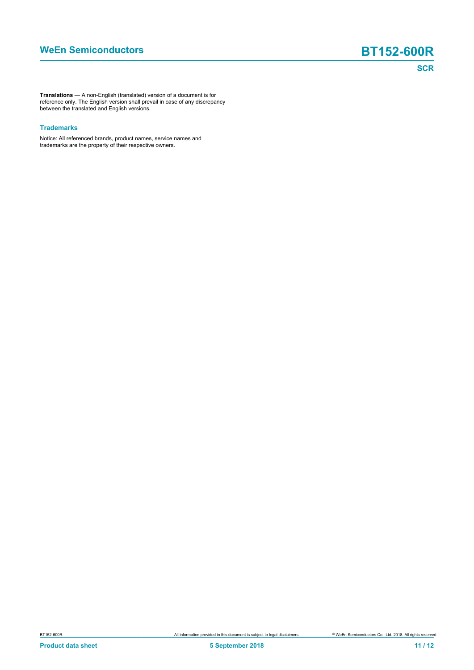**Translations** — A non-English (translated) version of a document is for reference only. The English version shall prevail in case of any discrepancy between the translated and English versions.

### **Trademarks**

Notice: All referenced brands, product names, service names and trademarks are the property of their respective owners.